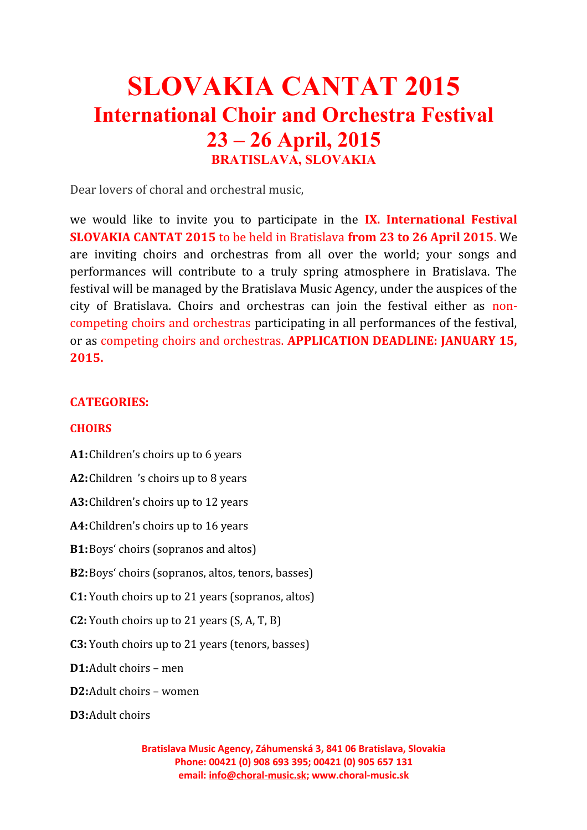# **SLOVAKIA CANTAT 2015 International Choir and Orchestra Festival 23 – 26 April, 2015 BRATISLAVA, SLOVAKIA**

Dear lovers of choral and orchestral music,

we would like to invite you to participate in the **IX. International Festival SLOVAKIA CANTAT 2015** to be held in Bratislava **from 23 to 26 April 2015**. We are inviting choirs and orchestras from all over the world; your songs and performances will contribute to a truly spring atmosphere in Bratislava. The festival will be managed by the Bratislava Music Agency, under the auspices of the city of Bratislava. Choirs and orchestras can join the festival either as noncompeting choirs and orchestras participating in all performances of the festival, or as competing choirs and orchestras. **APPLICATION DEADLINE: JANUARY 15, 2015.**

### **CATEGORIES:**

### **CHOIRS**

**A1:**Children's choirs up to 6 years

**A2:**Children 's choirs up to 8 years

**A3:**Children's choirs up to 12 years

**A4:**Children's choirs up to 16 years

**B1:**Boys' choirs (sopranos and altos)

**B2:**Boys' choirs (sopranos, altos, tenors, basses)

**C1:** Youth choirs up to 21 years (sopranos, altos)

**C2:** Youth choirs up to 21 years (S, A, T, B)

**C3:** Youth choirs up to 21 years (tenors, basses)

**D1:**Adult choirs – men

**D2:**Adult choirs – women

**D3:**Adult choirs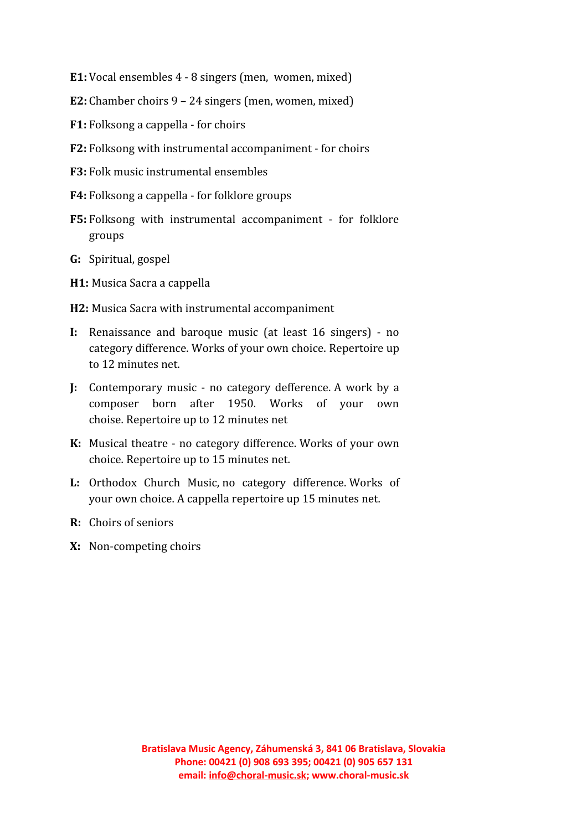- **E1:**Vocal ensembles 4 8 singers (men, women, mixed)
- **E2:** Chamber choirs 9 24 singers (men, women, mixed)
- **F1:** Folksong a cappella for choirs
- **F2:** Folksong with instrumental accompaniment for choirs
- **F3:** Folk music instrumental ensembles
- **F4:** Folksong a cappella for folklore groups
- **F5:** Folksong with instrumental accompaniment for folklore groups
- **G:** Spiritual, gospel
- **H1:** Musica Sacra a cappella
- **H2:** Musica Sacra with instrumental accompaniment
- **I:** Renaissance and baroque music (at least 16 singers) no category difference. Works of your own choice. Repertoire up to 12 minutes net.
- **J:** Contemporary music no category defference. A work by a composer born after 1950. Works of your own choise. Repertoire up to 12 minutes net
- **K:** Musical theatre no category difference. Works of your own choice. Repertoire up to 15 minutes net.
- **L:** Orthodox Church Music, no category difference. Works of your own choice. A cappella repertoire up 15 minutes net.
- **R:** Choirs of seniors
- **X:** Non-competing choirs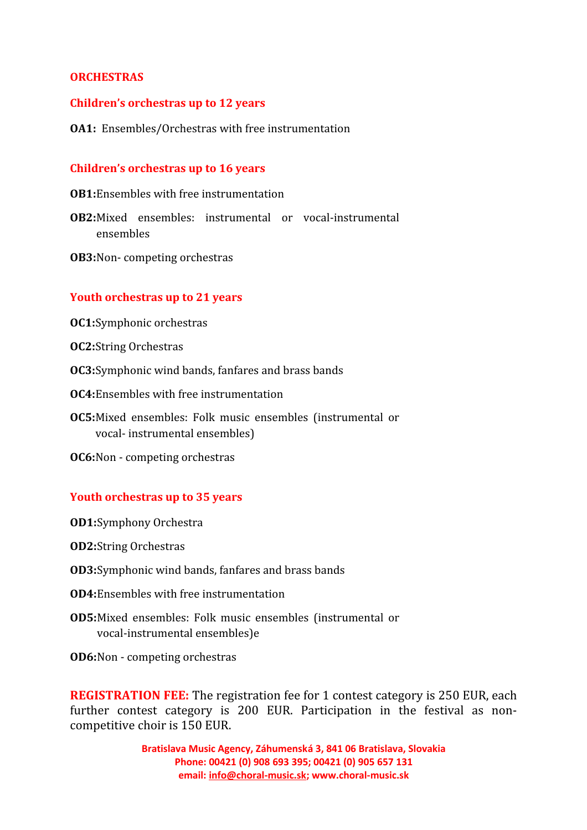### **ORCHESTRAS**

#### **Children's orchestras up to 12 years**

#### **OA1:** Ensembles/Orchestras with free instrumentation

#### **Children's orchestras up to 16 years**

**OB1:**Ensembles with free instrumentation

- **OB2:**Mixed ensembles: instrumental or vocal-instrumental ensembles
- **OB3:**Non- competing orchestras

### **Youth orchestras up to 21 years**

- **OC1:**Symphonic orchestras
- **OC2:**String Orchestras
- **OC3:**Symphonic wind bands, fanfares and brass bands
- **OC4:**Ensembles with free instrumentation
- **OC5:**Mixed ensembles: Folk music ensembles (instrumental or vocal- instrumental ensembles)
- **OC6:**Non competing orchestras

#### **Youth orchestras up to 35 years**

- **OD1:**Symphony Orchestra
- **OD2:**String Orchestras
- **OD3:**Symphonic wind bands, fanfares and brass bands
- **OD4:**Ensembles with free instrumentation
- **OD5:**Mixed ensembles: Folk music ensembles (instrumental or vocal-instrumental ensembles)e
- **OD6:**Non competing orchestras

**REGISTRATION FEE:** The registration fee for 1 contest category is 250 EUR, each further contest category is 200 EUR. Participation in the festival as noncompetitive choir is 150 EUR.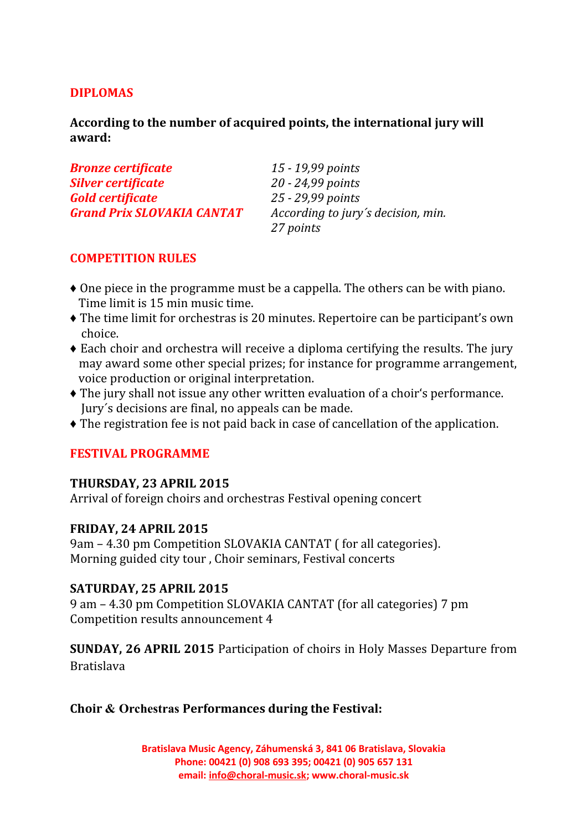# **DIPLOMAS**

**According to the number of acquired points, the international jury will award:**

| <b>Bronze certificate</b>         | 15 - 19,99 points                  |  |
|-----------------------------------|------------------------------------|--|
| Silver certificate                | 20 - 24,99 points                  |  |
| <b>Gold certificate</b>           | 25 - 29,99 points                  |  |
| <b>Grand Prix SLOVAKIA CANTAT</b> | According to jury's decision, min. |  |
|                                   | 27 points                          |  |

# **COMPETITION RULES**

- ♦ One piece in the programme must be a cappella. The others can be with piano. Time limit is 15 min music time.
- ♦ The time limit for orchestras is 20 minutes. Repertoire can be participant's own choice.
- ♦ Each choir and orchestra will receive a diploma certifying the results. The jury may award some other special prizes; for instance for programme arrangement, voice production or original interpretation.
- ♦ The jury shall not issue any other written evaluation of a choir's performance. Jury´s decisions are final, no appeals can be made.
- ♦ The registration fee is not paid back in case of cancellation of the application.

# **FESTIVAL PROGRAMME**

# **THURSDAY, 23 APRIL 2015**

Arrival of foreign choirs and orchestras Festival opening concert

# **FRIDAY, 24 APRIL 2015**

9am – 4.30 pm Competition SLOVAKIA CANTAT ( for all categories). Morning guided city tour , Choir seminars, Festival concerts

# **SATURDAY, 25 APRIL 2015**

9 am – 4.30 pm Competition SLOVAKIA CANTAT (for all categories) 7 pm Competition results announcement 4

**SUNDAY, 26 APRIL 2015** Participation of choirs in Holy Masses Departure from Bratislava

# **Choir & Orchestras Performances during the Festival:**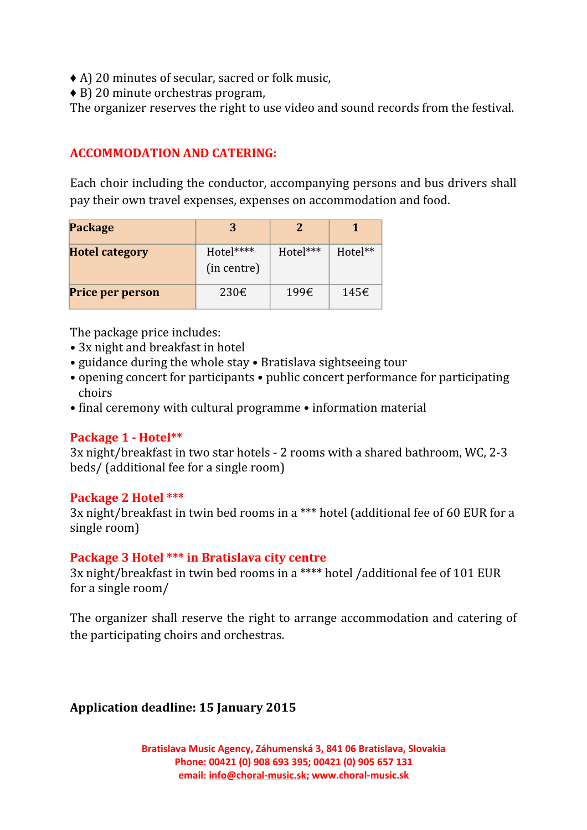- ♦ A) 20 minutes of secular, sacred or folk music,
- ♦ B) 20 minute orchestras program,

The organizer reserves the right to use video and sound records from the festival.

# **ACCOMMODATION AND CATERING:**

Each choir including the conductor, accompanying persons and bus drivers shall pay their own travel expenses, expenses on accommodation and food.

| <b>Package</b>          | З                        |          |               |
|-------------------------|--------------------------|----------|---------------|
| <b>Hotel category</b>   | Hotel****<br>(in centre) | Hotel*** | Hotel**       |
| <b>Price per person</b> | $230\epsilon$            | 199€     | $145\epsilon$ |

The package price includes:

- 3x night and breakfast in hotel
- guidance during the whole stay Bratislava sightseeing tour
- opening concert for participants public concert performance for participating choirs
- final ceremony with cultural programme information material

### **Package 1 - Hotel\*\***

3x night/breakfast in two star hotels - 2 rooms with a shared bathroom, WC, 2-3 beds/ (additional fee for a single room)

### **Package 2 Hotel \*\*\***

3x night/breakfast in twin bed rooms in a \*\*\* hotel (additional fee of 60 EUR for a single room)

# **Package 3 Hotel \*\*\* in Bratislava city centre**

3x night/breakfast in twin bed rooms in a \*\*\*\* hotel /additional fee of 101 EUR for a single room/

The organizer shall reserve the right to arrange accommodation and catering of the participating choirs and orchestras.

# **Application deadline: 15 January 2015**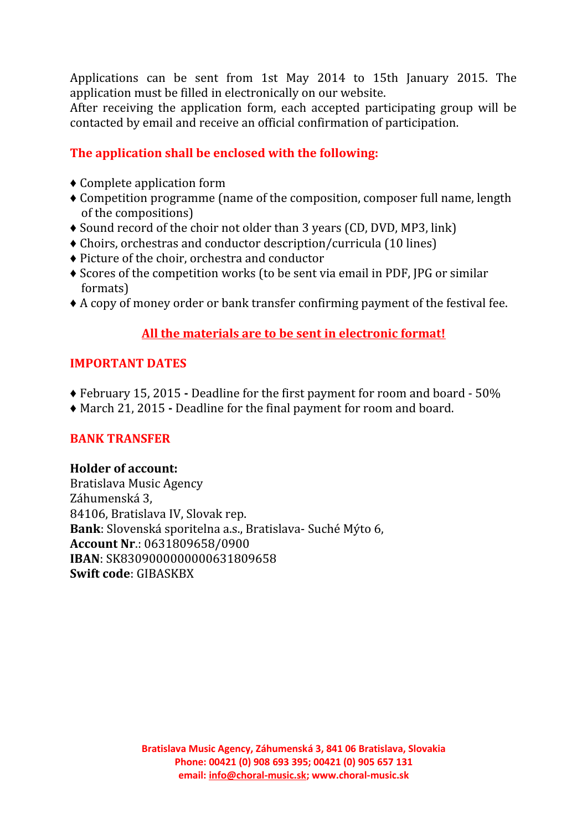Applications can be sent from 1st May 2014 to 15th January 2015. The application must be filled in electronically on our website.

After receiving the application form, each accepted participating group will be contacted by email and receive an official confirmation of participation.

# **The application shall be enclosed with the following:**

- ♦ Complete application form
- ♦ Competition programme (name of the composition, composer full name, length of the compositions)
- ♦ Sound record of the choir not older than 3 years (CD, DVD, MP3, link)
- ♦ Choirs, orchestras and conductor description/curricula (10 lines)
- ♦ Picture of the choir, orchestra and conductor
- ♦ Scores of the competition works (to be sent via email in PDF, JPG or similar formats)
- ♦ A copy of money order or bank transfer confirming payment of the festival fee.

# **All the materials are to be sent in electronic format!**

# **IMPORTANT DATES**

- ♦ February 15, 2015 Deadline for the first payment for room and board 50%
- ♦ March 21, 2015 Deadline for the final payment for room and board.

# **BANK TRANSFER**

# **Holder of account:**

Bratislava Music Agency Záhumenská 3, 84106, Bratislava IV, Slovak rep. **Bank**: Slovenská sporitelna a.s., Bratislava- Suché Mýto 6, **Account Nr**.: 0631809658/0900 **IBAN**: SK8309000000000631809658 **Swift code**: GIBASKBX